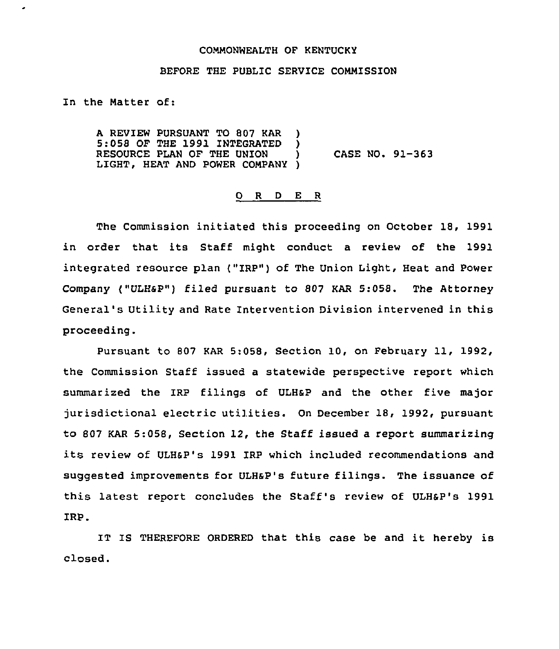## COMMONWEALTH OF KENTUCKY

## BEFORE THE PUBLIC SERVICE COMMISSION

In the Natter of:

A REVIEW PURSUANT TO 807 KAR )<br>5:058 OF THE 1991 INTEGRATED 5:058 OF THE 1991 INTEGRATED )<br>RESOURCE PLAN OF THE UNION RESOURCE PLAN OF THE UNION ) CASE NO. 91-363 LIGHT, HEAT AND POWER COMPANY )

## 0 <sup>R</sup> <sup>D</sup> E <sup>R</sup>

The Commission initiated this proceeding on October 18, 1991 in order that its Staff might conduct a review of the 1991 integrated resource plan ("IRP") of The Union Light, Heat and Power Company ("ULHsP") filed pursuant to 807 KAR 5:058. The Attorney General's Utility and Rate Intervention Division intervened in this proceeding.

Pursuant to 807 KAR 5:058, Section 10, on February 11, 1992, the Commission Staff issued a statewide perspective report which summarized the IRp filings of ULHap and the other five major jurisdictional electric utilities. On December 18, 1992, pursuant to 807 KAR 5:058, Section 12, the Staff issued a report summarizing its review of ULHaP's 1991 IRP which included recommendations and suggested improvements for ULHaP's future filings. The issuance of this latest report concludes the Staff's review of ULH&P's 1991 IRP.

IT IS THEREFORE ORDERED that this case be and it hereby is closed.